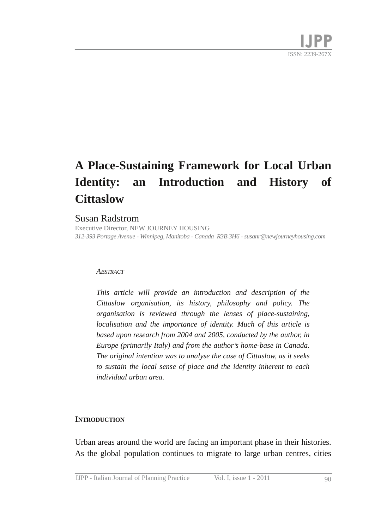# **A PlaceSustaining Framework for Local Urban Identity: an Introduction and History of Cittaslow**

#### Susan Radstrom

Executive Director, NEW JOURNEY HOUSING *312393 Portage Avenue Winnipeg, Manitoba Canada R3B 3H6 susanr@newjourneyhousing.com*

#### *ABSTRACT*

*This article will provide an introduction and description of the Cittaslow organisation, its history, philosophy and policy. The organisation is reviewed through the lenses of place-sustaining, localisation and the importance of identity. Much of this article is based upon research from 2004 and 2005, conducted by the author, in Europe* (*primarily Italy*) *and from the author's home-base in Canada. The original intention was to analyse the case of Cittaslow, as it seeks to sustain the local sense of place and the identity inherent to each individual urban area.*

#### **INTRODUCTION**

Urban areas around the world are facing an important phase in their histories. As the global population continues to migrate to large urban centres, cities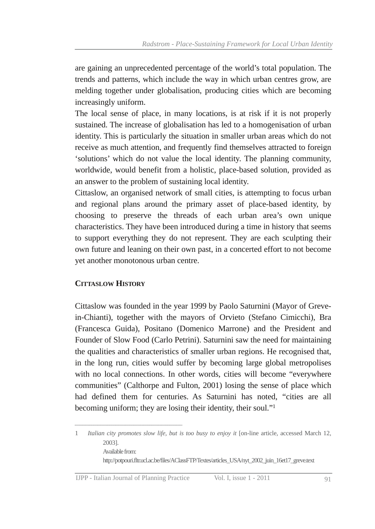are gaining an unprecedented percentage of the world's total population. The trends and patterns, which include the way in which urban centres grow, are melding together under globalisation, producing cities which are becoming increasingly uniform.

The local sense of place, in many locations, is at risk if it is not properly sustained. The increase of globalisation has led to a homogenisation of urban identity. This is particularly the situation in smaller urban areas which do not receive as much attention, and frequently find themselves attracted to foreign 'solutions' which do not value the local identity. The planning community, worldwide, would benefit from a holistic, place-based solution, provided as an answer to the problem of sustaining local identity.

Cittaslow, an organised network of small cities, is attempting to focus urban and regional plans around the primary asset of place-based identity, by choosing to preserve the threads of each urban area's own unique characteristics. They have been introduced during a time in history that seems to support everything they do not represent. They are each sculpting their own future and leaning on their own past, in a concerted effort to not become yet another monotonous urban centre.

#### **CITTASLOW HISTORY**

Cittaslow was founded in the year 1999 by Paolo Saturnini (Mayor of GreveinChianti), together with the mayors of Orvieto (Stefano Cimicchi), Bra (Francesca Guida), Positano (Domenico Marrone) and the President and Founder of Slow Food (Carlo Petrini). Saturnini saw the need for maintaining the qualities and characteristics of smaller urban regions. He recognised that, in the long run, cities would suffer by becoming large global metropolises with no local connections. In other words, cities will become "everywhere communities" (Calthorpe and Fulton, 2001) losing the sense of place which had defined them for centuries. As Saturnini has noted, "cities are all becoming uniform; they are losing their identity, their soul." 1

<sup>1</sup> *Italian city promotes slow life, but is too busy to enjoy it* [online article, accessed March 12, 2003]. Available from: http://potpouri.fltr.ucl.ac.be/files/AClassFTP/Textes/articles\_USA/nyt\_2002\_juin\_16et17\_greve.text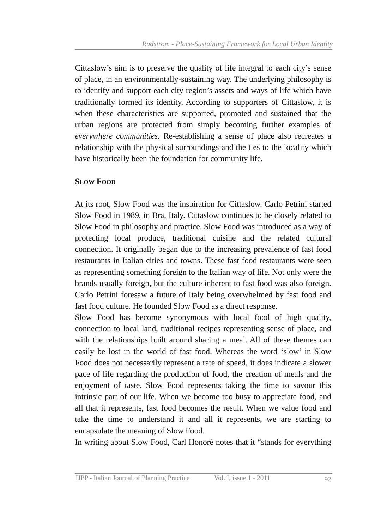Cittaslow's aim is to preserve the quality of life integral to each city's sense of place, in an environmentally-sustaining way. The underlying philosophy is to identify and support each city region's assets and ways of life which have traditionally formed its identity. According to supporters of Cittaslow, it is when these characteristics are supported, promoted and sustained that the urban regions are protected from simply becoming further examples of *everywhere communities*. Re-establishing a sense of place also recreates a relationship with the physical surroundings and the ties to the locality which have historically been the foundation for community life.

#### **SLOW FOOD**

At its root, Slow Food was the inspiration for Cittaslow. Carlo Petrini started Slow Food in 1989, in Bra, Italy. Cittaslow continues to be closely related to Slow Food in philosophy and practice. Slow Food was introduced as a way of protecting local produce, traditional cuisine and the related cultural connection. It originally began due to the increasing prevalence of fast food restaurants in Italian cities and towns. These fast food restaurants were seen as representing something foreign to the Italian way of life. Not only were the brands usually foreign, but the culture inherent to fast food was also foreign. Carlo Petrini foresaw a future of Italy being overwhelmed by fast food and fast food culture. He founded Slow Food as a direct response.

Slow Food has become synonymous with local food of high quality, connection to local land, traditional recipes representing sense of place, and with the relationships built around sharing a meal. All of these themes can easily be lost in the world of fast food. Whereas the word 'slow' in Slow Food does not necessarily represent a rate of speed, it does indicate a slower pace of life regarding the production of food, the creation of meals and the enjoyment of taste. Slow Food represents taking the time to savour this intrinsic part of our life. When we become too busy to appreciate food, and all that it represents, fast food becomes the result. When we value food and take the time to understand it and all it represents, we are starting to encapsulate the meaning of Slow Food.

In writing about Slow Food, Carl Honoré notes that it "stands for everything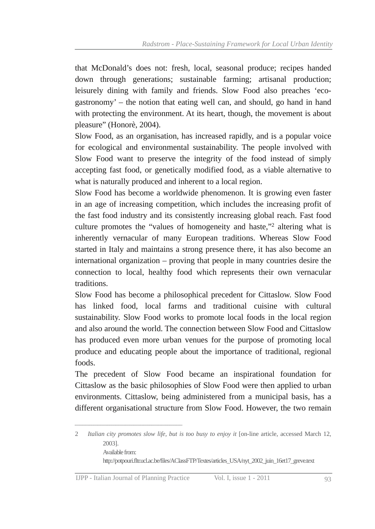that McDonald's does not: fresh, local, seasonal produce; recipes handed down through generations; sustainable farming; artisanal production; leisurely dining with family and friends. Slow Food also preaches 'ecogastronomy' – the notion that eating well can, and should, go hand in hand with protecting the environment. At its heart, though, the movement is about pleasure" (Honorè, 2004).

Slow Food, as an organisation, has increased rapidly, and is a popular voice for ecological and environmental sustainability. The people involved with Slow Food want to preserve the integrity of the food instead of simply accepting fast food, or genetically modified food, as a viable alternative to what is naturally produced and inherent to a local region.

Slow Food has become a worldwide phenomenon. It is growing even faster in an age of increasing competition, which includes the increasing profit of the fast food industry and its consistently increasing global reach. Fast food culture promotes the "values of homogeneity and haste," 2 altering what is inherently vernacular of many European traditions. Whereas Slow Food started in Italy and maintains a strong presence there, it has also become an international organization – proving that people in many countries desire the connection to local, healthy food which represents their own vernacular traditions.

Slow Food has become a philosophical precedent for Cittaslow. Slow Food has linked food, local farms and traditional cuisine with cultural sustainability. Slow Food works to promote local foods in the local region and also around the world. The connection between Slow Food and Cittaslow has produced even more urban venues for the purpose of promoting local produce and educating people about the importance of traditional, regional foods.

The precedent of Slow Food became an inspirational foundation for Cittaslow as the basic philosophies of Slow Food were then applied to urban environments. Cittaslow, being administered from a municipal basis, has a different organisational structure from Slow Food. However, the two remain

<sup>2</sup> *Italian city promotes slow life, but is too busy to enjoy it* [online article, accessed March 12, 2003]. Available from: http://potpouri.fltr.ucl.ac.be/files/AClassFTP/Textes/articles\_USA/nyt\_2002\_juin\_16et17\_greve.text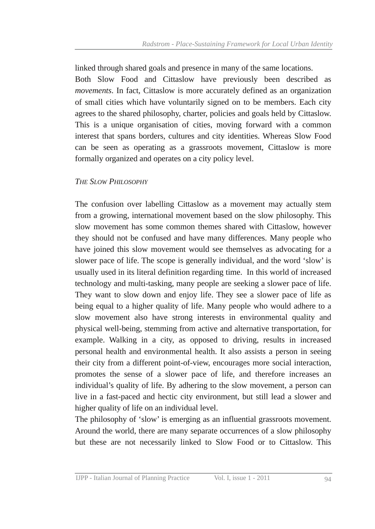linked through shared goals and presence in many of the same locations. Both Slow Food and Cittaslow have previously been described as *movements*. In fact, Cittaslow is more accurately defined as an organization of small cities which have voluntarily signed on to be members. Each city agrees to the shared philosophy, charter, policies and goals held by Cittaslow. This is a unique organisation of cities, moving forward with a common interest that spans borders, cultures and city identities. Whereas Slow Food can be seen as operating as a grassroots movement, Cittaslow is more formally organized and operates on a city policy level.

#### *THE SLOW PHILOSOPHY*

The confusion over labelling Cittaslow as a movement may actually stem from a growing, international movement based on the slow philosophy. This slow movement has some common themes shared with Cittaslow, however they should not be confused and have many differences. Many people who have joined this slow movement would see themselves as advocating for a slower pace of life. The scope is generally individual, and the word 'slow' is usually used in its literal definition regarding time. In this world of increased technology and multi-tasking, many people are seeking a slower pace of life. They want to slow down and enjoy life. They see a slower pace of life as being equal to a higher quality of life. Many people who would adhere to a slow movement also have strong interests in environmental quality and physical well-being, stemming from active and alternative transportation, for example. Walking in a city, as opposed to driving, results in increased personal health and environmental health. It also assists a person in seeing their city from a different point-of-view, encourages more social interaction, promotes the sense of a slower pace of life, and therefore increases an individual's quality of life. By adhering to the slow movement, a person can live in a fast-paced and hectic city environment, but still lead a slower and higher quality of life on an individual level.

The philosophy of 'slow' is emerging as an influential grassroots movement. Around the world, there are many separate occurrences of a slow philosophy but these are not necessarily linked to Slow Food or to Cittaslow. This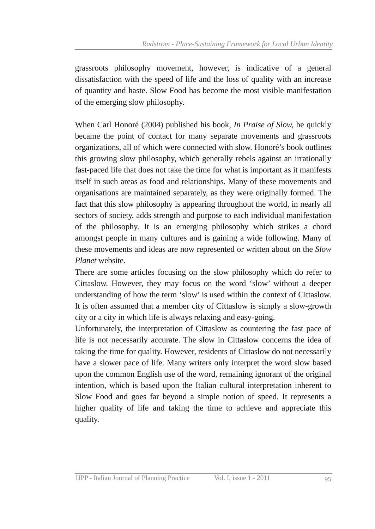grassroots philosophy movement, however, is indicative of a general dissatisfaction with the speed of life and the loss of quality with an increase of quantity and haste. Slow Food has become the most visible manifestation of the emerging slow philosophy.

When Carl Honoré (2004) published his book, *In Praise of Slow*, he quickly became the point of contact for many separate movements and grassroots organizations, all of which were connected with slow. Honoré's book outlines this growing slow philosophy, which generally rebels against an irrationally fast-paced life that does not take the time for what is important as it manifests itself in such areas as food and relationships. Many of these movements and organisations are maintained separately, as they were originally formed. The fact that this slow philosophy is appearing throughout the world, in nearly all sectors of society, adds strength and purpose to each individual manifestation of the philosophy. It is an emerging philosophy which strikes a chord amongst people in many cultures and is gaining a wide following. Many of these movements and ideas are now represented or written about on the *Slow Planet* website.

There are some articles focusing on the slow philosophy which do refer to Cittaslow. However, they may focus on the word 'slow' without a deeper understanding of how the term 'slow' is used within the context of Cittaslow. It is often assumed that a member city of Cittaslow is simply a slow-growth city or a city in which life is always relaxing and easy-going.

Unfortunately, the interpretation of Cittaslow as countering the fast pace of life is not necessarily accurate. The slow in Cittaslow concerns the idea of taking the time for quality. However, residents of Cittaslow do not necessarily have a slower pace of life. Many writers only interpret the word slow based upon the common English use of the word, remaining ignorant of the original intention, which is based upon the Italian cultural interpretation inherent to Slow Food and goes far beyond a simple notion of speed. It represents a higher quality of life and taking the time to achieve and appreciate this quality.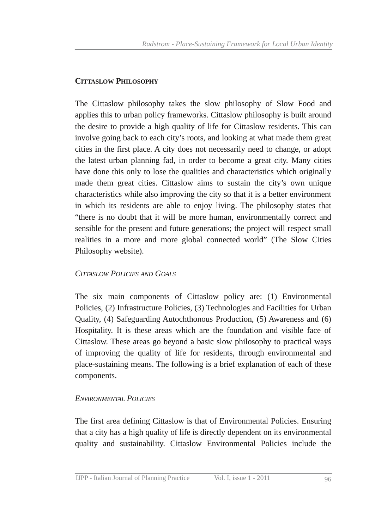#### **CITTASLOW PHILOSOPHY**

The Cittaslow philosophy takes the slow philosophy of Slow Food and applies this to urban policy frameworks. Cittaslow philosophy is built around the desire to provide a high quality of life for Cittaslow residents. This can involve going back to each city's roots, and looking at what made them great cities in the first place. A city does not necessarily need to change, or adopt the latest urban planning fad, in order to become a great city. Many cities have done this only to lose the qualities and characteristics which originally made them great cities. Cittaslow aims to sustain the city's own unique characteristics while also improving the city so that it is a better environment in which its residents are able to enjoy living. The philosophy states that "there is no doubt that it will be more human, environmentally correct and sensible for the present and future generations; the project will respect small realities in a more and more global connected world" (The Slow Cities Philosophy website).

#### *CITTASLOW POLICIES AND GOALS*

The six main components of Cittaslow policy are: (1) Environmental Policies, (2) Infrastructure Policies, (3) Technologies and Facilities for Urban Quality, (4) Safeguarding Autochthonous Production, (5) Awareness and (6) Hospitality. It is these areas which are the foundation and visible face of Cittaslow. These areas go beyond a basic slow philosophy to practical ways of improving the quality of life for residents, through environmental and place-sustaining means. The following is a brief explanation of each of these components.

#### *ENVIRONMENTAL POLICIES*

The first area defining Cittaslow is that of Environmental Policies. Ensuring that a city has a high quality of life is directly dependent on its environmental quality and sustainability. Cittaslow Environmental Policies include the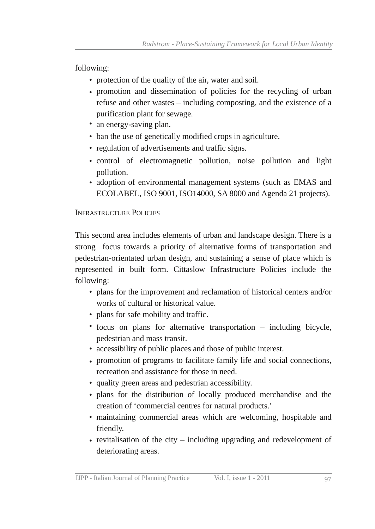following:

- protection of the quality of the air, water and soil.
- promotion and dissemination of policies for the recycling of urban refuse and other wastes – including composting, and the existence of a purification plant for sewage.
- an energy-saving plan.
- ban the use of genetically modified crops in agriculture.
- regulation of advertisements and traffic signs.
- control of electromagnetic pollution, noise pollution and light pollution.
- adoption of environmental management systems (such as EMAS and ECOLABEL, ISO 9001, ISO14000, SA 8000 and Agenda 21 projects).

# INFRASTRUCTURE POLICIES

This second area includes elements of urban and landscape design. There is a strong focus towards a priority of alternative forms of transportation and pedestrian-orientated urban design, and sustaining a sense of place which is represented in built form. Cittaslow Infrastructure Policies include the following:

- plans for the improvement and reclamation of historical centers and/or works of cultural or historical value.
- plans for safe mobility and traffic.
- focus on plans for alternative transportation including bicycle, pedestrian and mass transit.
- accessibility of public places and those of public interest.
- promotion of programs to facilitate family life and social connections, recreation and assistance for those in need.
- quality green areas and pedestrian accessibility. •
- plans for the distribution of locally produced merchandise and the creation of 'commercial centres for natural products.'
- maintaining commercial areas which are welcoming, hospitable and friendly.
- revitalisation of the city including upgrading and redevelopment of deteriorating areas.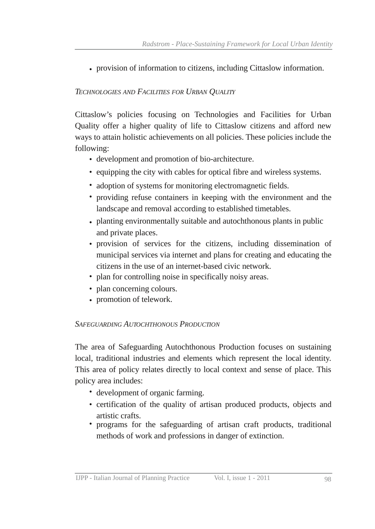• provision of information to citizens, including Cittaslow information.

# *TECHNOLOGIES AND FACILITIES FOR URBAN QUALITY*

Cittaslow's policies focusing on Technologies and Facilities for Urban Quality offer a higher quality of life to Cittaslow citizens and afford new ways to attain holistic achievements on all policies. These policies include the following:

- development and promotion of bio-architecture.
- equipping the city with cables for optical fibre and wireless systems.
- adoption of systems for monitoring electromagnetic fields.
- providing refuse containers in keeping with the environment and the landscape and removal according to established timetables.
- planting environmentally suitable and autochthonous plants in public and private places.
- provision of services for the citizens, including dissemination of municipal services via internet and plans for creating and educating the citizens in the use of an internet-based civic network.
- plan for controlling noise in specifically noisy areas.
- plan concerning colours.
- promotion of telework.

# *SAFEGUARDING AUTOCHTHONOUS PRODUCTION*

The area of Safeguarding Autochthonous Production focuses on sustaining local, traditional industries and elements which represent the local identity. This area of policy relates directly to local context and sense of place. This policy area includes:

- development of organic farming.
- certification of the quality of artisan produced products, objects and artistic crafts.
- programs for the safeguarding of artisan craft products, traditional methods of work and professions in danger of extinction.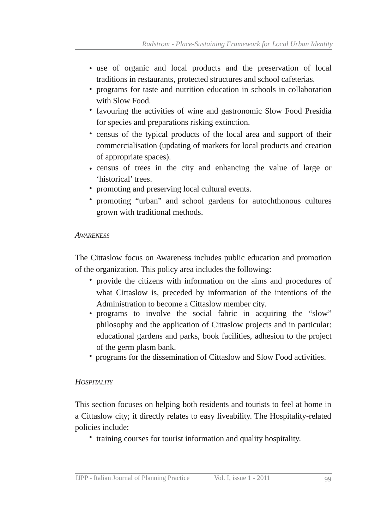- use of organic and local products and the preservation of local traditions in restaurants, protected structures and school cafeterias.
- programs for taste and nutrition education in schools in collaboration with Slow Food.
- favouring the activities of wine and gastronomic Slow Food Presidia for species and preparations risking extinction.
- census of the typical products of the local area and support of their commercialisation (updating of markets for local products and creation of appropriate spaces).
- census of trees in the city and enhancing the value of large or 'historical' trees.
- promoting and preserving local cultural events.
- promoting "urban" and school gardens for autochthonous cultures grown with traditional methods. •

#### *AWARENESS*

The Cittaslow focus on Awareness includes public education and promotion of the organization. This policy area includes the following:

- provide the citizens with information on the aims and procedures of what Cittaslow is, preceded by information of the intentions of the Administration to become a Cittaslow member city.
- programs to involve the social fabric in acquiring the "slow" philosophy and the application of Cittaslow projects and in particular: educational gardens and parks, book facilities, adhesion to the project of the germ plasm bank.
- programs for the dissemination of Cittaslow and Slow Food activities.

#### *HOSPITALITY*

This section focuses on helping both residents and tourists to feel at home in a Cittaslow city; it directly relates to easy liveability. The Hospitality-related policies include:

• training courses for tourist information and quality hospitality.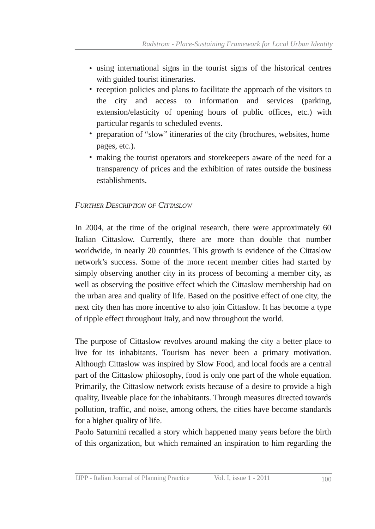- using international signs in the tourist signs of the historical centres with guided tourist itineraries.
- reception policies and plans to facilitate the approach of the visitors to the city and access to information and services (parking, extension/elasticity of opening hours of public offices, etc.) with particular regards to scheduled events.
- preparation of "slow" itineraries of the city (brochures, websites, home pages, etc.).
- making the tourist operators and storekeepers aware of the need for a transparency of prices and the exhibition of rates outside the business establishments.

# *FURTHER DESCRIPTION OF CITTASLOW*

In 2004, at the time of the original research, there were approximately 60 Italian Cittaslow. Currently, there are more than double that number worldwide, in nearly 20 countries. This growth is evidence of the Cittaslow network's success. Some of the more recent member cities had started by simply observing another city in its process of becoming a member city, as well as observing the positive effect which the Cittaslow membership had on the urban area and quality of life. Based on the positive effect of one city, the next city then has more incentive to also join Cittaslow. It has become a type of ripple effect throughout Italy, and now throughout the world.

The purpose of Cittaslow revolves around making the city a better place to live for its inhabitants. Tourism has never been a primary motivation. Although Cittaslow was inspired by Slow Food, and local foods are a central part of the Cittaslow philosophy, food is only one part of the whole equation. Primarily, the Cittaslow network exists because of a desire to provide a high quality, liveable place for the inhabitants. Through measures directed towards pollution, traffic, and noise, among others, the cities have become standards for a higher quality of life.

Paolo Saturnini recalled a story which happened many years before the birth of this organization, but which remained an inspiration to him regarding the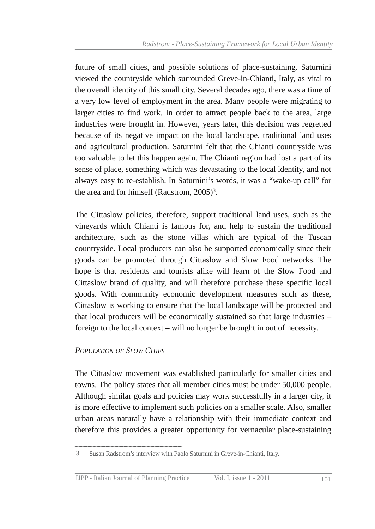future of small cities, and possible solutions of place-sustaining. Saturnini viewed the countryside which surrounded Greve-in-Chianti, Italy, as vital to the overall identity of this small city. Several decades ago, there was a time of a very low level of employment in the area. Many people were migrating to larger cities to find work. In order to attract people back to the area, large industries were brought in. However, years later, this decision was regretted because of its negative impact on the local landscape, traditional land uses and agricultural production. Saturnini felt that the Chianti countryside was too valuable to let this happen again. The Chianti region had lost a part of its sense of place, something which was devastating to the local identity, and not always easy to re-establish. In Saturnini's words, it was a "wake-up call" for the area and for himself (Radstrom, 2005) 3 .

The Cittaslow policies, therefore, support traditional land uses, such as the vineyards which Chianti is famous for, and help to sustain the traditional architecture, such as the stone villas which are typical of the Tuscan countryside. Local producers can also be supported economically since their goods can be promoted through Cittaslow and Slow Food networks. The hope is that residents and tourists alike will learn of the Slow Food and Cittaslow brand of quality, and will therefore purchase these specific local goods. With community economic development measures such as these, Cittaslow is working to ensure that the local landscape will be protected and that local producers will be economically sustained so that large industries – foreign to the local context – will no longer be brought in out of necessity.

#### *POPULATION OF SLOW CITIES*

The Cittaslow movement was established particularly for smaller cities and towns. The policy states that all member cities must be under 50,000 people. Although similar goals and policies may work successfully in a larger city, it is more effective to implement such policies on a smaller scale. Also, smaller urban areas naturally have a relationship with their immediate context and therefore this provides a greater opportunity for vernacular place-sustaining

<sup>3</sup> Susan Radstrom's interview with Paolo Saturnini in Greve-in-Chianti, Italy.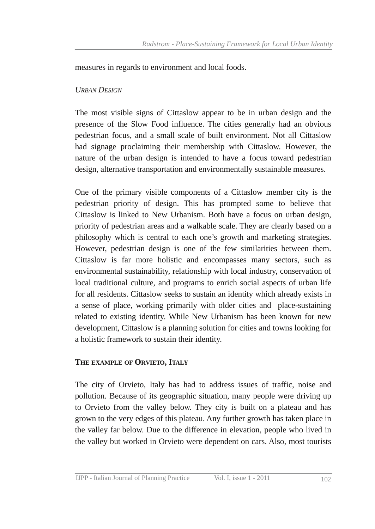measures in regards to environment and local foods.

#### *URBAN DESIGN*

The most visible signs of Cittaslow appear to be in urban design and the presence of the Slow Food influence. The cities generally had an obvious pedestrian focus, and a small scale of built environment. Not all Cittaslow had signage proclaiming their membership with Cittaslow. However, the nature of the urban design is intended to have a focus toward pedestrian design, alternative transportation and environmentally sustainable measures.

One of the primary visible components of a Cittaslow member city is the pedestrian priority of design. This has prompted some to believe that Cittaslow is linked to New Urbanism. Both have a focus on urban design, priority of pedestrian areas and a walkable scale. They are clearly based on a philosophy which is central to each one's growth and marketing strategies. However, pedestrian design is one of the few similarities between them. Cittaslow is far more holistic and encompasses many sectors, such as environmental sustainability, relationship with local industry, conservation of local traditional culture, and programs to enrich social aspects of urban life for all residents. Cittaslow seeks to sustain an identity which already exists in a sense of place, working primarily with older cities and place-sustaining related to existing identity. While New Urbanism has been known for new development, Cittaslow is a planning solution for cities and towns looking for a holistic framework to sustain their identity.

#### **THE EXAMPLE OF ORVIETO, ITALY**

The city of Orvieto, Italy has had to address issues of traffic, noise and pollution. Because of its geographic situation, many people were driving up to Orvieto from the valley below. They city is built on a plateau and has grown to the very edges of this plateau. Any further growth has taken place in the valley far below. Due to the difference in elevation, people who lived in the valley but worked in Orvieto were dependent on cars. Also, most tourists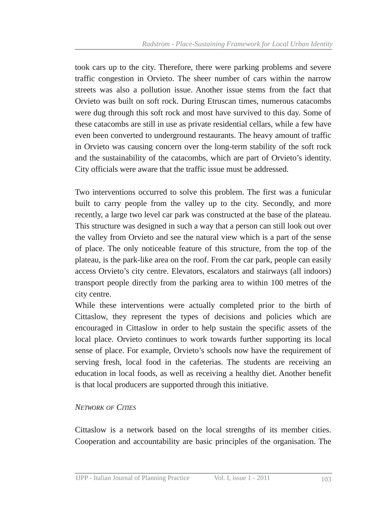took cars up to the city. Therefore, there were parking problems and severe traffic congestion in Orvieto. The sheer number of cars within the narrow streets was also a pollution issue. Another issue stems from the fact that Orvieto was built on soft rock. During Etruscan times, numerous catacombs were dug through this soft rock and most have survived to this day. Some of these catacombs are still in use as private residential cellars, while a few have even been converted to underground restaurants. The heavy amount of traffic in Orvieto was causing concern over the long-term stability of the soft rock and the sustainability of the catacombs, which are part of Orvieto's identity. City officials were aware that the traffic issue must be addressed.

Two interventions occurred to solve this problem. The first was a funicular built to carry people from the valley up to the city. Secondly, and more recently, a large two level car park was constructed at the base of the plateau. This structure was designed in such a way that a person can still look out over the valley from Orvieto and see the natural view which is a part of the sense of place. The only noticeable feature of this structure, from the top of the plateau, is the park-like area on the roof. From the car park, people can easily access Orvieto's city centre. Elevators, escalators and stairways (all indoors) transport people directly from the parking area to within 100 metres of the city centre.

While these interventions were actually completed prior to the birth of Cittaslow, they represent the types of decisions and policies which are encouraged in Cittaslow in order to help sustain the specific assets of the local place. Orvieto continues to work towards further supporting its local sense of place. For example, Orvieto's schools now have the requirement of serving fresh, local food in the cafeterias. The students are receiving an education in local foods, as well as receiving a healthy diet. Another benefit is that local producers are supported through this initiative.

#### *NETWORK OF CITIES*

Cittaslow is a network based on the local strengths of its member cities. Cooperation and accountability are basic principles of the organisation. The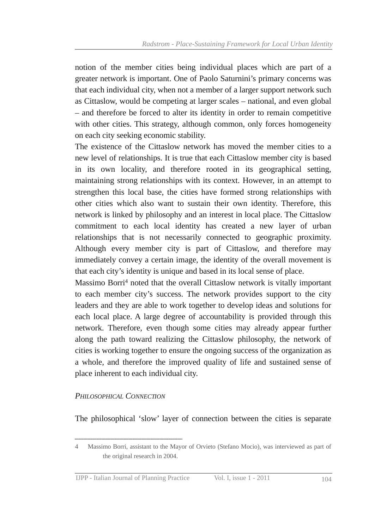notion of the member cities being individual places which are part of a greater network is important. One of Paolo Saturnini's primary concerns was that each individual city, when not a member of a larger support network such as Cittaslow, would be competing at larger scales – national, and even global – and therefore be forced to alter its identity in order to remain competitive with other cities. This strategy, although common, only forces homogeneity on each city seeking economic stability.

The existence of the Cittaslow network has moved the member cities to a new level of relationships. It is true that each Cittaslow member city is based in its own locality, and therefore rooted in its geographical setting, maintaining strong relationships with its context. However, in an attempt to strengthen this local base, the cities have formed strong relationships with other cities which also want to sustain their own identity. Therefore, this network is linked by philosophy and an interest in local place. The Cittaslow commitment to each local identity has created a new layer of urban relationships that is not necessarily connected to geographic proximity. Although every member city is part of Cittaslow, and therefore may immediately convey a certain image, the identity of the overall movement is that each city's identity is unique and based in its local sense of place.

Massimo Borri 4 noted that the overall Cittaslow network is vitally important to each member city's success. The network provides support to the city leaders and they are able to work together to develop ideas and solutions for each local place. A large degree of accountability is provided through this network. Therefore, even though some cities may already appear further along the path toward realizing the Cittaslow philosophy, the network of cities is working together to ensure the ongoing success of the organization as a whole, and therefore the improved quality of life and sustained sense of place inherent to each individual city.

#### *PHILOSOPHICAL CONNECTION*

The philosophical 'slow' layer of connection between the cities is separate

<sup>4</sup> Massimo Borri, assistant to the Mayor of Orvieto (Stefano Mocio), was interviewed as part of the original research in 2004.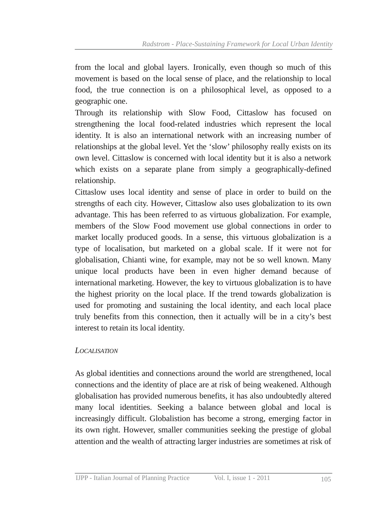from the local and global layers. Ironically, even though so much of this movement is based on the local sense of place, and the relationship to local food, the true connection is on a philosophical level, as opposed to a geographic one.

Through its relationship with Slow Food, Cittaslow has focused on strengthening the local food-related industries which represent the local identity. It is also an international network with an increasing number of relationships at the global level. Yet the 'slow' philosophy really exists on its own level. Cittaslow is concerned with local identity but it is also a network which exists on a separate plane from simply a geographically-defined relationship.

Cittaslow uses local identity and sense of place in order to build on the strengths of each city. However, Cittaslow also uses globalization to its own advantage. This has been referred to as virtuous globalization. For example, members of the Slow Food movement use global connections in order to market locally produced goods. In a sense, this virtuous globalization is a type of localisation, but marketed on a global scale. If it were not for globalisation, Chianti wine, for example, may not be so well known. Many unique local products have been in even higher demand because of international marketing. However, the key to virtuous globalization is to have the highest priority on the local place. If the trend towards globalization is used for promoting and sustaining the local identity, and each local place truly benefits from this connection, then it actually will be in a city's best interest to retain its local identity.

#### *LOCALISATION*

As global identities and connections around the world are strengthened, local connections and the identity of place are at risk of being weakened. Although globalisation has provided numerous benefits, it has also undoubtedly altered many local identities. Seeking a balance between global and local is increasingly difficult. Globalistion has become a strong, emerging factor in its own right. However, smaller communities seeking the prestige of global attention and the wealth of attracting larger industries are sometimes at risk of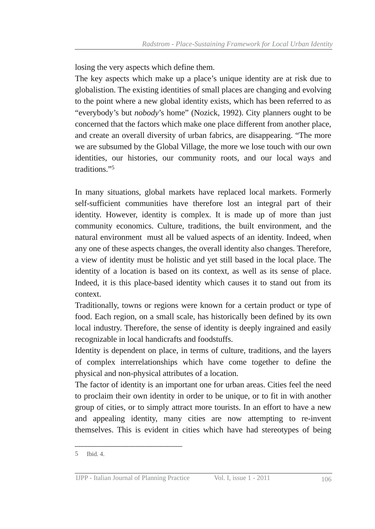losing the very aspects which define them.

The key aspects which make up a place's unique identity are at risk due to globalistion. The existing identities of small places are changing and evolving to the point where a new global identity exists, which has been referred to as "everybody's but *nobody*'s home" (Nozick, 1992). City planners ought to be concerned that the factors which make one place different from another place, and create an overall diversity of urban fabrics, are disappearing. "The more we are subsumed by the Global Village, the more we lose touch with our own identities, our histories, our community roots, and our local ways and traditions." 5

In many situations, global markets have replaced local markets. Formerly self-sufficient communities have therefore lost an integral part of their identity. However, identity is complex. It is made up of more than just community economics. Culture, traditions, the built environment, and the natural environment must all be valued aspects of an identity. Indeed, when any one of these aspects changes, the overall identity also changes. Therefore, a view of identity must be holistic and yet still based in the local place. The identity of a location is based on its context, as well as its sense of place. Indeed, it is this place-based identity which causes it to stand out from its context.

Traditionally, towns or regions were known for a certain product or type of food. Each region, on a small scale, has historically been defined by its own local industry. Therefore, the sense of identity is deeply ingrained and easily recognizable in local handicrafts and foodstuffs.

Identity is dependent on place, in terms of culture, traditions, and the layers of complex interrelationships which have come together to define the physical and non-physical attributes of a location.

The factor of identity is an important one for urban areas. Cities feel the need to proclaim their own identity in order to be unique, or to fit in with another group of cities, or to simply attract more tourists. In an effort to have a new and appealing identity, many cities are now attempting to re-invent themselves. This is evident in cities which have had stereotypes of being

<sup>5</sup> Ibid. 4.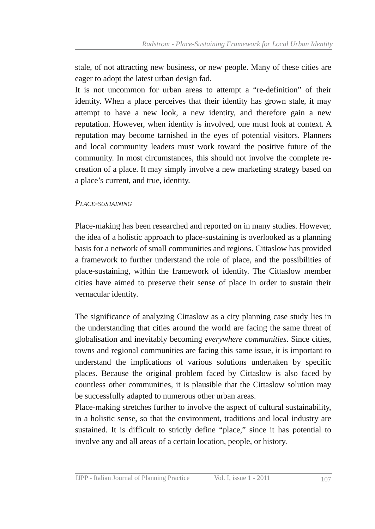stale, of not attracting new business, or new people. Many of these cities are eager to adopt the latest urban design fad.

It is not uncommon for urban areas to attempt a "redefinition" of their identity. When a place perceives that their identity has grown stale, it may attempt to have a new look, a new identity, and therefore gain a new reputation. However, when identity is involved, one must look at context. A reputation may become tarnished in the eyes of potential visitors. Planners and local community leaders must work toward the positive future of the community. In most circumstances, this should not involve the complete recreation of a place. It may simply involve a new marketing strategy based on a place's current, and true, identity.

#### *PLACESUSTAINING*

Place-making has been researched and reported on in many studies. However, the idea of a holistic approach to place-sustaining is overlooked as a planning basis for a network of small communities and regions. Cittaslow has provided a framework to further understand the role of place, and the possibilities of place-sustaining, within the framework of identity. The Cittaslow member cities have aimed to preserve their sense of place in order to sustain their vernacular identity.

The significance of analyzing Cittaslow as a city planning case study lies in the understanding that cities around the world are facing the same threat of globalisation and inevitably becoming *everywhere communities*. Since cities, towns and regional communities are facing this same issue, it is important to understand the implications of various solutions undertaken by specific places. Because the original problem faced by Cittaslow is also faced by countless other communities, it is plausible that the Cittaslow solution may be successfully adapted to numerous other urban areas.

Place-making stretches further to involve the aspect of cultural sustainability, in a holistic sense, so that the environment, traditions and local industry are sustained. It is difficult to strictly define "place," since it has potential to involve any and all areas of a certain location, people, or history.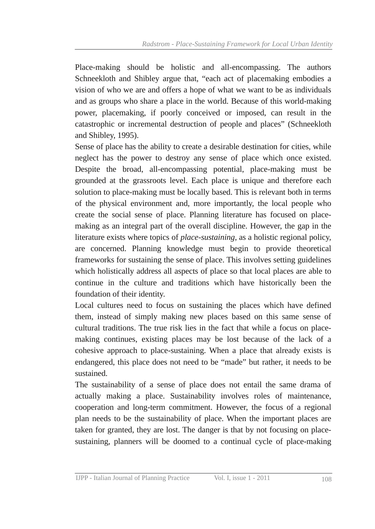Place-making should be holistic and all-encompassing. The authors Schneekloth and Shibley argue that, "each act of placemaking embodies a vision of who we are and offers a hope of what we want to be as individuals and as groups who share a place in the world. Because of this world-making power, placemaking, if poorly conceived or imposed, can result in the catastrophic or incremental destruction of people and places" (Schneekloth and Shibley, 1995).

Sense of place has the ability to create a desirable destination for cities, while neglect has the power to destroy any sense of place which once existed. Despite the broad, all-encompassing potential, place-making must be grounded at the grassroots level. Each place is unique and therefore each solution to place-making must be locally based. This is relevant both in terms of the physical environment and, more importantly, the local people who create the social sense of place. Planning literature has focused on placemaking as an integral part of the overall discipline. However, the gap in the literature exists where topics of *place-sustaining*, as a holistic regional policy, are concerned. Planning knowledge must begin to provide theoretical frameworks for sustaining the sense of place. This involves setting guidelines which holistically address all aspects of place so that local places are able to continue in the culture and traditions which have historically been the foundation of their identity.

Local cultures need to focus on sustaining the places which have defined them, instead of simply making new places based on this same sense of cultural traditions. The true risk lies in the fact that while a focus on placemaking continues, existing places may be lost because of the lack of a cohesive approach to place-sustaining. When a place that already exists is endangered, this place does not need to be "made" but rather, it needs to be sustained.

The sustainability of a sense of place does not entail the same drama of actually making a place. Sustainability involves roles of maintenance, cooperation and long-term commitment. However, the focus of a regional plan needs to be the sustainability of place. When the important places are taken for granted, they are lost. The danger is that by not focusing on placesustaining, planners will be doomed to a continual cycle of place-making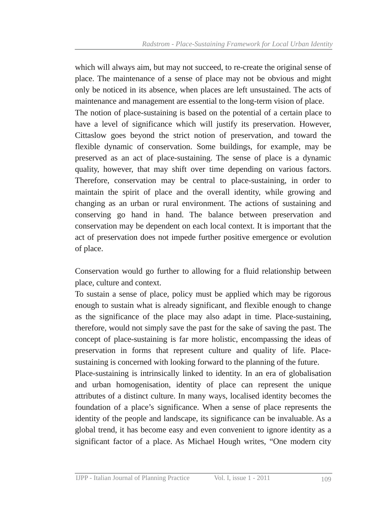which will always aim, but may not succeed, to re-create the original sense of place. The maintenance of a sense of place may not be obvious and might only be noticed in its absence, when places are left unsustained. The acts of maintenance and management are essential to the long-term vision of place.

The notion of place-sustaining is based on the potential of a certain place to have a level of significance which will justify its preservation. However, Cittaslow goes beyond the strict notion of preservation, and toward the flexible dynamic of conservation. Some buildings, for example, may be preserved as an act of place-sustaining. The sense of place is a dynamic quality, however, that may shift over time depending on various factors. Therefore, conservation may be central to place-sustaining, in order to maintain the spirit of place and the overall identity, while growing and changing as an urban or rural environment. The actions of sustaining and conserving go hand in hand. The balance between preservation and conservation may be dependent on each local context. It is important that the act of preservation does not impede further positive emergence or evolution of place.

Conservation would go further to allowing for a fluid relationship between place, culture and context.

To sustain a sense of place, policy must be applied which may be rigorous enough to sustain what is already significant, and flexible enough to change as the significance of the place may also adapt in time. Place-sustaining, therefore, would not simply save the past for the sake of saving the past. The concept of place-sustaining is far more holistic, encompassing the ideas of preservation in forms that represent culture and quality of life. Placesustaining is concerned with looking forward to the planning of the future.

Place-sustaining is intrinsically linked to identity. In an era of globalisation and urban homogenisation, identity of place can represent the unique attributes of a distinct culture. In many ways, localised identity becomes the foundation of a place's significance. When a sense of place represents the identity of the people and landscape, its significance can be invaluable. As a global trend, it has become easy and even convenient to ignore identity as a significant factor of a place. As Michael Hough writes, "One modern city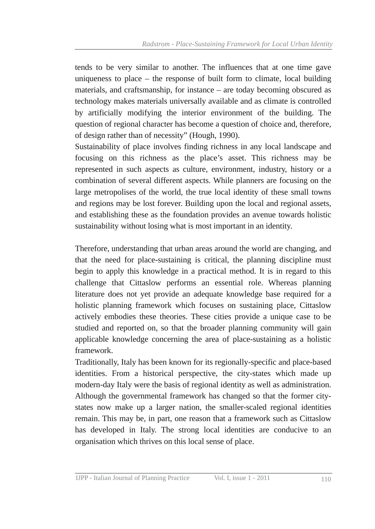tends to be very similar to another. The influences that at one time gave uniqueness to place – the response of built form to climate, local building materials, and craftsmanship, for instance – are today becoming obscured as technology makes materials universally available and as climate is controlled by artificially modifying the interior environment of the building. The question of regional character has become a question of choice and, therefore, of design rather than of necessity" (Hough, 1990).

Sustainability of place involves finding richness in any local landscape and focusing on this richness as the place's asset. This richness may be represented in such aspects as culture, environment, industry, history or a combination of several different aspects. While planners are focusing on the large metropolises of the world, the true local identity of these small towns and regions may be lost forever. Building upon the local and regional assets, and establishing these as the foundation provides an avenue towards holistic sustainability without losing what is most important in an identity.

Therefore, understanding that urban areas around the world are changing, and that the need for place-sustaining is critical, the planning discipline must begin to apply this knowledge in a practical method. It is in regard to this challenge that Cittaslow performs an essential role. Whereas planning literature does not yet provide an adequate knowledge base required for a holistic planning framework which focuses on sustaining place, Cittaslow actively embodies these theories. These cities provide a unique case to be studied and reported on, so that the broader planning community will gain applicable knowledge concerning the area of place-sustaining as a holistic framework.

Traditionally, Italy has been known for its regionally-specific and place-based identities. From a historical perspective, the city-states which made up modern-day Italy were the basis of regional identity as well as administration. Although the governmental framework has changed so that the former citystates now make up a larger nation, the smaller-scaled regional identities remain. This may be, in part, one reason that a framework such as Cittaslow has developed in Italy. The strong local identities are conducive to an organisation which thrives on this local sense of place.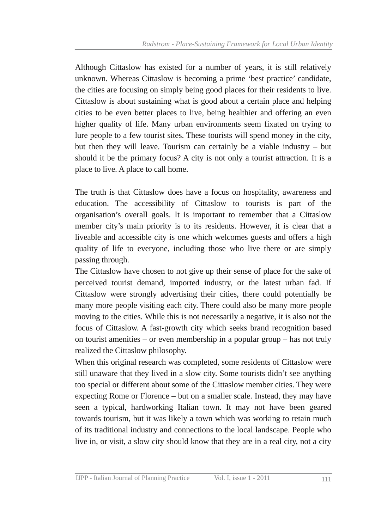Although Cittaslow has existed for a number of years, it is still relatively unknown. Whereas Cittaslow is becoming a prime 'best practice' candidate, the cities are focusing on simply being good places for their residents to live. Cittaslow is about sustaining what is good about a certain place and helping cities to be even better places to live, being healthier and offering an even higher quality of life. Many urban environments seem fixated on trying to lure people to a few tourist sites. These tourists will spend money in the city, but then they will leave. Tourism can certainly be a viable industry – but should it be the primary focus? A city is not only a tourist attraction. It is a place to live. A place to call home.

The truth is that Cittaslow does have a focus on hospitality, awareness and education. The accessibility of Cittaslow to tourists is part of the organisation's overall goals. It is important to remember that a Cittaslow member city's main priority is to its residents. However, it is clear that a liveable and accessible city is one which welcomes guests and offers a high quality of life to everyone, including those who live there or are simply passing through.

The Cittaslow have chosen to not give up their sense of place for the sake of perceived tourist demand, imported industry, or the latest urban fad. If Cittaslow were strongly advertising their cities, there could potentially be many more people visiting each city. There could also be many more people moving to the cities. While this is not necessarily a negative, it is also not the focus of Cittaslow. A fast-growth city which seeks brand recognition based on tourist amenities – or even membership in a popular group – has not truly realized the Cittaslow philosophy.

When this original research was completed, some residents of Cittaslow were still unaware that they lived in a slow city. Some tourists didn't see anything too special or different about some of the Cittaslow member cities. They were expecting Rome or Florence – but on a smaller scale. Instead, they may have seen a typical, hardworking Italian town. It may not have been geared towards tourism, but it was likely a town which was working to retain much of its traditional industry and connections to the local landscape. People who live in, or visit, a slow city should know that they are in a real city, not a city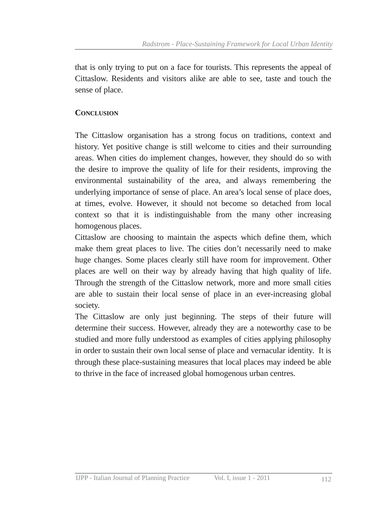that is only trying to put on a face for tourists. This represents the appeal of Cittaslow. Residents and visitors alike are able to see, taste and touch the sense of place.

#### **CONCLUSION**

The Cittaslow organisation has a strong focus on traditions, context and history. Yet positive change is still welcome to cities and their surrounding areas. When cities do implement changes, however, they should do so with the desire to improve the quality of life for their residents, improving the environmental sustainability of the area, and always remembering the underlying importance of sense of place. An area's local sense of place does, at times, evolve. However, it should not become so detached from local context so that it is indistinguishable from the many other increasing homogenous places.

Cittaslow are choosing to maintain the aspects which define them, which make them great places to live. The cities don't necessarily need to make huge changes. Some places clearly still have room for improvement. Other places are well on their way by already having that high quality of life. Through the strength of the Cittaslow network, more and more small cities are able to sustain their local sense of place in an everincreasing global society.

The Cittaslow are only just beginning. The steps of their future will determine their success. However, already they are a noteworthy case to be studied and more fully understood as examples of cities applying philosophy in order to sustain their own local sense of place and vernacular identity. It is through these place-sustaining measures that local places may indeed be able to thrive in the face of increased global homogenous urban centres.